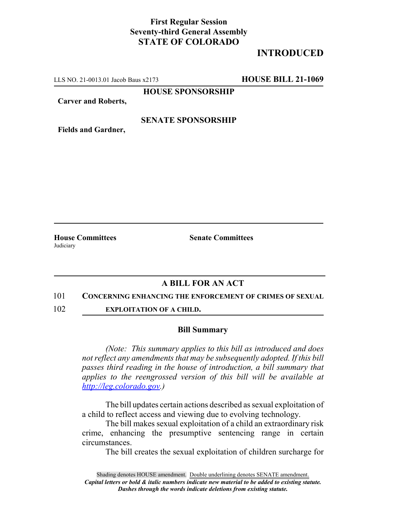## **First Regular Session Seventy-third General Assembly STATE OF COLORADO**

# **INTRODUCED**

LLS NO. 21-0013.01 Jacob Baus x2173 **HOUSE BILL 21-1069**

**HOUSE SPONSORSHIP**

**Carver and Roberts,**

### **SENATE SPONSORSHIP**

**Fields and Gardner,**

Judiciary

**House Committees Senate Committees**

### **A BILL FOR AN ACT**

#### 101 **CONCERNING ENHANCING THE ENFORCEMENT OF CRIMES OF SEXUAL**

102 **EXPLOITATION OF A CHILD.**

#### **Bill Summary**

*(Note: This summary applies to this bill as introduced and does not reflect any amendments that may be subsequently adopted. If this bill passes third reading in the house of introduction, a bill summary that applies to the reengrossed version of this bill will be available at http://leg.colorado.gov.)*

The bill updates certain actions described as sexual exploitation of a child to reflect access and viewing due to evolving technology.

The bill makes sexual exploitation of a child an extraordinary risk crime, enhancing the presumptive sentencing range in certain circumstances.

The bill creates the sexual exploitation of children surcharge for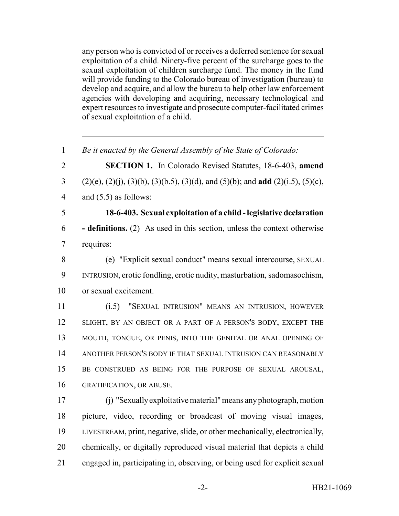any person who is convicted of or receives a deferred sentence for sexual exploitation of a child. Ninety-five percent of the surcharge goes to the sexual exploitation of children surcharge fund. The money in the fund will provide funding to the Colorado bureau of investigation (bureau) to develop and acquire, and allow the bureau to help other law enforcement agencies with developing and acquiring, necessary technological and expert resources to investigate and prosecute computer-facilitated crimes of sexual exploitation of a child.

| $\mathbf{1}$   | Be it enacted by the General Assembly of the State of Colorado:                               |
|----------------|-----------------------------------------------------------------------------------------------|
| $\overline{2}$ | SECTION 1. In Colorado Revised Statutes, 18-6-403, amend                                      |
| 3              | $(2)(e), (2)(j), (3)(b), (3)(b.5), (3)(d),$ and $(5)(b)$ ; and <b>add</b> $(2)(i.5), (5)(c),$ |
| $\overline{4}$ | and $(5.5)$ as follows:                                                                       |
| 5              | 18-6-403. Sexual exploitation of a child - legislative declaration                            |
| 6              | <b>- definitions.</b> (2) As used in this section, unless the context otherwise               |
| $\overline{7}$ | requires:                                                                                     |
| 8              | (e) "Explicit sexual conduct" means sexual intercourse, SEXUAL                                |
| 9              | INTRUSION, erotic fondling, erotic nudity, masturbation, sadomasochism,                       |
| 10             | or sexual excitement.                                                                         |
| 11             | (i.5)<br>"SEXUAL INTRUSION" MEANS AN INTRUSION, HOWEVER                                       |
| 12             | SLIGHT, BY AN OBJECT OR A PART OF A PERSON'S BODY, EXCEPT THE                                 |
| 13             | MOUTH, TONGUE, OR PENIS, INTO THE GENITAL OR ANAL OPENING OF                                  |
| 14             | ANOTHER PERSON'S BODY IF THAT SEXUAL INTRUSION CAN REASONABLY                                 |
| 15             | BE CONSTRUED AS BEING FOR THE PURPOSE OF SEXUAL AROUSAL,                                      |
| 16             | GRATIFICATION, OR ABUSE.                                                                      |
| 17             | (j) "Sexually exploitative material" means any photograph, motion                             |
| 18             | picture, video, recording or broadcast of moving visual images,                               |
| 19             | LIVESTREAM, print, negative, slide, or other mechanically, electronically,                    |
| 20             | chemically, or digitally reproduced visual material that depicts a child                      |
| 21             | engaged in, participating in, observing, or being used for explicit sexual                    |
|                |                                                                                               |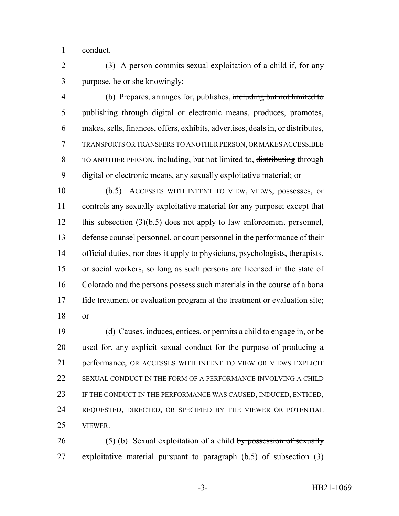conduct.

 (3) A person commits sexual exploitation of a child if, for any purpose, he or she knowingly:

 (b) Prepares, arranges for, publishes, including but not limited to 5 publishing through digital or electronic means, produces, promotes, 6 makes, sells, finances, offers, exhibits, advertises, deals in,  $\sigma r$  distributes, TRANSPORTS OR TRANSFERS TO ANOTHER PERSON, OR MAKES ACCESSIBLE TO ANOTHER PERSON, including, but not limited to, distributing through digital or electronic means, any sexually exploitative material; or

 (b.5) ACCESSES WITH INTENT TO VIEW, VIEWS, possesses, or controls any sexually exploitative material for any purpose; except that 12 this subsection (3)(b.5) does not apply to law enforcement personnel, defense counsel personnel, or court personnel in the performance of their official duties, nor does it apply to physicians, psychologists, therapists, or social workers, so long as such persons are licensed in the state of Colorado and the persons possess such materials in the course of a bona fide treatment or evaluation program at the treatment or evaluation site; or

 (d) Causes, induces, entices, or permits a child to engage in, or be used for, any explicit sexual conduct for the purpose of producing a performance, OR ACCESSES WITH INTENT TO VIEW OR VIEWS EXPLICIT SEXUAL CONDUCT IN THE FORM OF A PERFORMANCE INVOLVING A CHILD IF THE CONDUCT IN THE PERFORMANCE WAS CAUSED, INDUCED, ENTICED, REQUESTED, DIRECTED, OR SPECIFIED BY THE VIEWER OR POTENTIAL VIEWER.

26 (5) (b) Sexual exploitation of a child by possession of sexually 27 exploitative material pursuant to paragraph  $(b.5)$  of subsection  $(3)$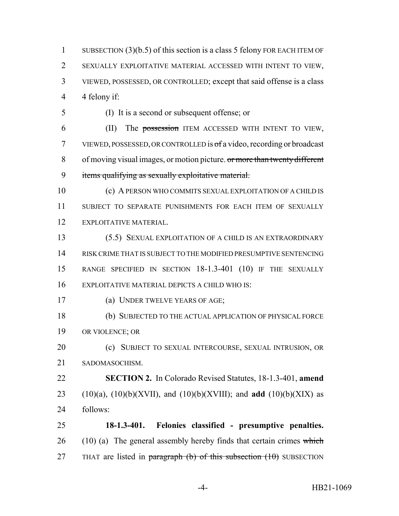SUBSECTION (3)(b.5) of this section is a class 5 felony FOR EACH ITEM OF SEXUALLY EXPLOITATIVE MATERIAL ACCESSED WITH INTENT TO VIEW, VIEWED, POSSESSED, OR CONTROLLED; except that said offense is a class 4 felony if:

(I) It is a second or subsequent offense; or

 (II) The possession ITEM ACCESSED WITH INTENT TO VIEW, VIEWED, POSSESSED, OR CONTROLLED is of a video, recording or broadcast 8 of moving visual images, or motion picture. or more than twenty different items qualifying as sexually exploitative material.

 (c) A PERSON WHO COMMITS SEXUAL EXPLOITATION OF A CHILD IS SUBJECT TO SEPARATE PUNISHMENTS FOR EACH ITEM OF SEXUALLY EXPLOITATIVE MATERIAL.

 (5.5) SEXUAL EXPLOITATION OF A CHILD IS AN EXTRAORDINARY RISK CRIME THAT IS SUBJECT TO THE MODIFIED PRESUMPTIVE SENTENCING RANGE SPECIFIED IN SECTION 18-1.3-401 (10) IF THE SEXUALLY EXPLOITATIVE MATERIAL DEPICTS A CHILD WHO IS:

- (a) UNDER TWELVE YEARS OF AGE;
- (b) SUBJECTED TO THE ACTUAL APPLICATION OF PHYSICAL FORCE OR VIOLENCE; OR

 (c) SUBJECT TO SEXUAL INTERCOURSE, SEXUAL INTRUSION, OR SADOMASOCHISM.

 **SECTION 2.** In Colorado Revised Statutes, 18-1.3-401, **amend** (10)(a), (10)(b)(XVII), and (10)(b)(XVIII); and **add** (10)(b)(XIX) as follows:

 **18-1.3-401. Felonies classified - presumptive penalties.** (10) (a) The general assembly hereby finds that certain crimes which 27 THAT are listed in paragraph (b) of this subsection  $(10)$  SUBSECTION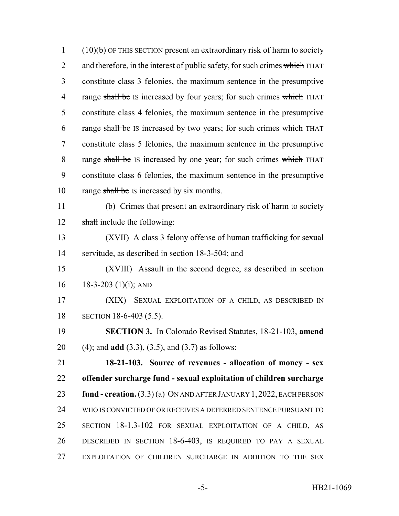(10)(b) OF THIS SECTION present an extraordinary risk of harm to society 2 and therefore, in the interest of public safety, for such crimes which THAT constitute class 3 felonies, the maximum sentence in the presumptive 4 range shall be IS increased by four years; for such crimes which THAT constitute class 4 felonies, the maximum sentence in the presumptive 6 range shall be IS increased by two years; for such crimes which THAT constitute class 5 felonies, the maximum sentence in the presumptive 8 range shall be IS increased by one year; for such crimes which THAT constitute class 6 felonies, the maximum sentence in the presumptive 10 range shall be IS increased by six months. (b) Crimes that present an extraordinary risk of harm to society 12 shall include the following: (XVII) A class 3 felony offense of human trafficking for sexual 14 servitude, as described in section 18-3-504; and (XVIII) Assault in the second degree, as described in section 16 18-3-203 (1)(i); AND

 (XIX) SEXUAL EXPLOITATION OF A CHILD, AS DESCRIBED IN SECTION 18-6-403 (5.5).

 **SECTION 3.** In Colorado Revised Statutes, 18-21-103, **amend** (4); and **add** (3.3), (3.5), and (3.7) as follows:

 **18-21-103. Source of revenues - allocation of money - sex offender surcharge fund - sexual exploitation of children surcharge fund - creation.** (3.3) (a) ON AND AFTER JANUARY 1, 2022, EACH PERSON WHO IS CONVICTED OF OR RECEIVES A DEFERRED SENTENCE PURSUANT TO SECTION 18-1.3-102 FOR SEXUAL EXPLOITATION OF A CHILD, AS DESCRIBED IN SECTION 18-6-403, IS REQUIRED TO PAY A SEXUAL EXPLOITATION OF CHILDREN SURCHARGE IN ADDITION TO THE SEX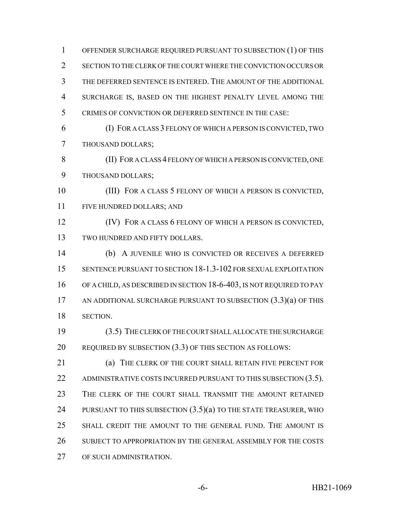OFFENDER SURCHARGE REQUIRED PURSUANT TO SUBSECTION (1) OF THIS SECTION TO THE CLERK OF THE COURT WHERE THE CONVICTION OCCURS OR THE DEFERRED SENTENCE IS ENTERED. THE AMOUNT OF THE ADDITIONAL SURCHARGE IS, BASED ON THE HIGHEST PENALTY LEVEL AMONG THE CRIMES OF CONVICTION OR DEFERRED SENTENCE IN THE CASE: (I) FOR A CLASS 3 FELONY OF WHICH A PERSON IS CONVICTED, TWO THOUSAND DOLLARS; (II) FOR A CLASS 4 FELONY OF WHICH A PERSON IS CONVICTED, ONE THOUSAND DOLLARS; (III) FOR A CLASS 5 FELONY OF WHICH A PERSON IS CONVICTED, FIVE HUNDRED DOLLARS; AND (IV) FOR A CLASS 6 FELONY OF WHICH A PERSON IS CONVICTED, TWO HUNDRED AND FIFTY DOLLARS. (b) A JUVENILE WHO IS CONVICTED OR RECEIVES A DEFERRED SENTENCE PURSUANT TO SECTION 18-1.3-102 FOR SEXUAL EXPLOITATION 16 OF A CHILD, AS DESCRIBED IN SECTION 18-6-403, IS NOT REQUIRED TO PAY 17 AN ADDITIONAL SURCHARGE PURSUANT TO SUBSECTION  $(3.3)(a)$  OF THIS SECTION. (3.5) THE CLERK OF THE COURT SHALL ALLOCATE THE SURCHARGE REQUIRED BY SUBSECTION (3.3) OF THIS SECTION AS FOLLOWS: (a) THE CLERK OF THE COURT SHALL RETAIN FIVE PERCENT FOR 22 ADMINISTRATIVE COSTS INCURRED PURSUANT TO THIS SUBSECTION (3.5). 23 THE CLERK OF THE COURT SHALL TRANSMIT THE AMOUNT RETAINED 24 PURSUANT TO THIS SUBSECTION  $(3.5)(a)$  to the state treasurer, who SHALL CREDIT THE AMOUNT TO THE GENERAL FUND. THE AMOUNT IS

 SUBJECT TO APPROPRIATION BY THE GENERAL ASSEMBLY FOR THE COSTS OF SUCH ADMINISTRATION.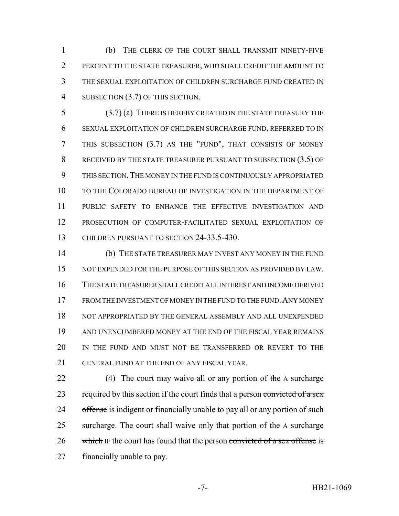(b) THE CLERK OF THE COURT SHALL TRANSMIT NINETY-FIVE PERCENT TO THE STATE TREASURER, WHO SHALL CREDIT THE AMOUNT TO THE SEXUAL EXPLOITATION OF CHILDREN SURCHARGE FUND CREATED IN 4 SUBSECTION (3.7) OF THIS SECTION.

 (3.7) (a) THERE IS HEREBY CREATED IN THE STATE TREASURY THE SEXUAL EXPLOITATION OF CHILDREN SURCHARGE FUND, REFERRED TO IN THIS SUBSECTION (3.7) AS THE "FUND", THAT CONSISTS OF MONEY 8 RECEIVED BY THE STATE TREASURER PURSUANT TO SUBSECTION (3.5) OF THIS SECTION.THE MONEY IN THE FUND IS CONTINUOUSLY APPROPRIATED 10 TO THE COLORADO BUREAU OF INVESTIGATION IN THE DEPARTMENT OF PUBLIC SAFETY TO ENHANCE THE EFFECTIVE INVESTIGATION AND PROSECUTION OF COMPUTER-FACILITATED SEXUAL EXPLOITATION OF 13 CHILDREN PURSUANT TO SECTION 24-33.5-430.

 (b) THE STATE TREASURER MAY INVEST ANY MONEY IN THE FUND 15 NOT EXPENDED FOR THE PURPOSE OF THIS SECTION AS PROVIDED BY LAW. THE STATE TREASURER SHALL CREDIT ALL INTEREST AND INCOME DERIVED FROM THE INVESTMENT OF MONEY IN THE FUND TO THE FUND.ANY MONEY NOT APPROPRIATED BY THE GENERAL ASSEMBLY AND ALL UNEXPENDED AND UNENCUMBERED MONEY AT THE END OF THE FISCAL YEAR REMAINS IN THE FUND AND MUST NOT BE TRANSFERRED OR REVERT TO THE GENERAL FUND AT THE END OF ANY FISCAL YEAR.

22 (4) The court may waive all or any portion of the A surcharge 23 required by this section if the court finds that a person convicted of a sex 24 offense is indigent or financially unable to pay all or any portion of such 25 surcharge. The court shall waive only that portion of the A surcharge 26 which IF the court has found that the person convicted of a sex offense is financially unable to pay.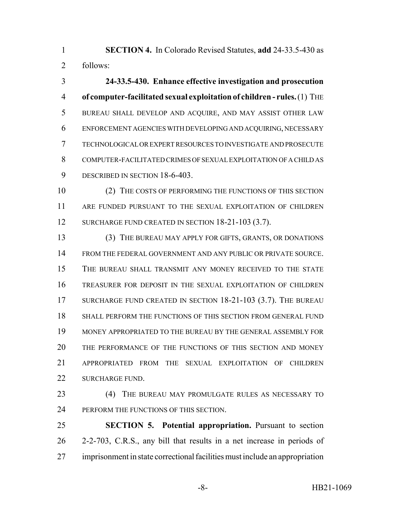**SECTION 4.** In Colorado Revised Statutes, **add** 24-33.5-430 as follows:

 **24-33.5-430. Enhance effective investigation and prosecution of computer-facilitated sexual exploitation of children - rules.** (1) THE BUREAU SHALL DEVELOP AND ACQUIRE, AND MAY ASSIST OTHER LAW ENFORCEMENT AGENCIES WITH DEVELOPING AND ACQUIRING, NECESSARY TECHNOLOGICAL OR EXPERT RESOURCES TO INVESTIGATE AND PROSECUTE COMPUTER-FACILITATED CRIMES OF SEXUAL EXPLOITATION OF A CHILD AS 9 DESCRIBED IN SECTION 18-6-403.

10 (2) THE COSTS OF PERFORMING THE FUNCTIONS OF THIS SECTION ARE FUNDED PURSUANT TO THE SEXUAL EXPLOITATION OF CHILDREN 12 SURCHARGE FUND CREATED IN SECTION 18-21-103 (3.7).

 (3) THE BUREAU MAY APPLY FOR GIFTS, GRANTS, OR DONATIONS FROM THE FEDERAL GOVERNMENT AND ANY PUBLIC OR PRIVATE SOURCE. THE BUREAU SHALL TRANSMIT ANY MONEY RECEIVED TO THE STATE TREASURER FOR DEPOSIT IN THE SEXUAL EXPLOITATION OF CHILDREN 17 SURCHARGE FUND CREATED IN SECTION 18-21-103 (3.7). THE BUREAU SHALL PERFORM THE FUNCTIONS OF THIS SECTION FROM GENERAL FUND MONEY APPROPRIATED TO THE BUREAU BY THE GENERAL ASSEMBLY FOR THE PERFORMANCE OF THE FUNCTIONS OF THIS SECTION AND MONEY APPROPRIATED FROM THE SEXUAL EXPLOITATION OF CHILDREN 22 SURCHARGE FUND.

 (4) THE BUREAU MAY PROMULGATE RULES AS NECESSARY TO 24 PERFORM THE FUNCTIONS OF THIS SECTION.

 **SECTION 5. Potential appropriation.** Pursuant to section 2-2-703, C.R.S., any bill that results in a net increase in periods of imprisonment in state correctional facilities must include an appropriation